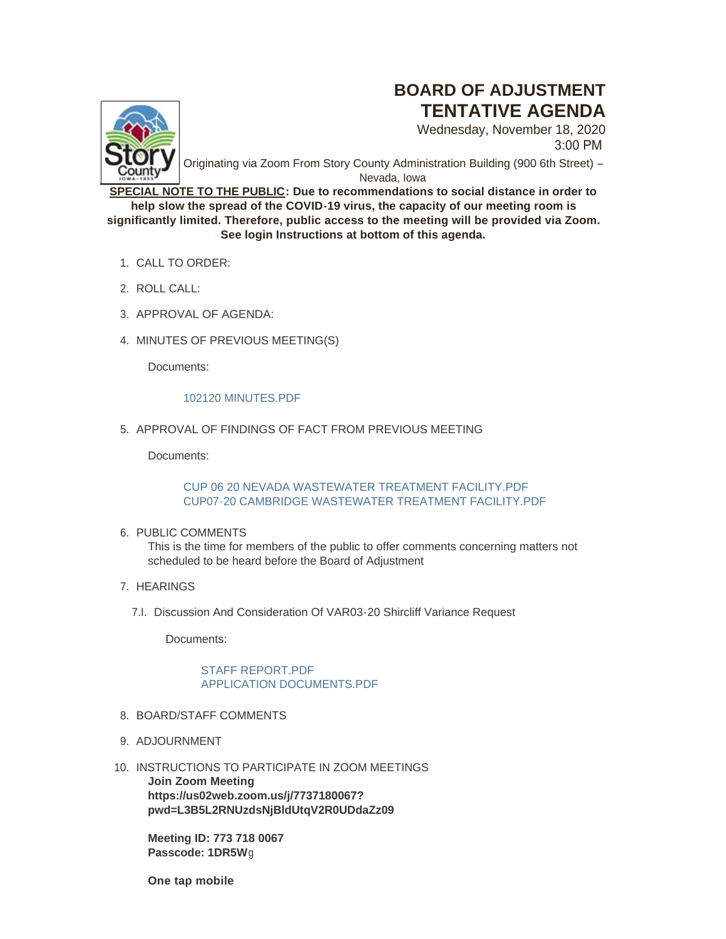# **BOARD OF ADJUSTMENT TENTATIVE AGENDA**

Wednesday, November 18, 2020 3:00 PM



Originating via Zoom From Story County Administration Building (900 6th Street) – Nevada, Iowa

**SPECIAL NOTE TO THE PUBLIC: Due to recommendations to social distance in order to help slow the spread of the COVID-19 virus, the capacity of our meeting room is significantly limited. Therefore, public access to the meeting will be provided via Zoom. See login Instructions at bottom of this agenda.**

- CALL TO ORDER: 1.
- 2. ROLL CALL:
- 3. APPROVAL OF AGENDA:
- 4. MINUTES OF PREVIOUS MEETING(S)

Documents:

## [102120 MINUTES.PDF](http://www.storycountyiowa.gov/AgendaCenter/ViewFile/Item/19530?fileID=14833)

5. APPROVAL OF FINDINGS OF FACT FROM PREVIOUS MEETING

Documents:

CUP 06 20 NEVADA WASTEWATER TREATMENT FACILITY PDF [CUP07-20 CAMBRIDGE WASTEWATER TREATMENT FACILITY.PDF](http://www.storycountyiowa.gov/AgendaCenter/ViewFile/Item/19531?fileID=14837)

## 6. PUBLIC COMMENTS

This is the time for members of the public to offer comments concerning matters not scheduled to be heard before the Board of Adjustment

- 7. HEARINGS
	- 7.I. Discussion And Consideration Of VAR03-20 Shircliff Variance Request

Documents:

## [STAFF REPORT.PDF](http://www.storycountyiowa.gov/AgendaCenter/ViewFile/Item/19529?fileID=14829) [APPLICATION DOCUMENTS.PDF](http://www.storycountyiowa.gov/AgendaCenter/ViewFile/Item/19529?fileID=14830)

- 8. BOARD/STAFF COMMENTS
- 9. ADJOURNMENT
- 10. INSTRUCTIONS TO PARTICIPATE IN ZOOM MEETINGS

**Join Zoom Meeting https://us02web.zoom.us/j/7737180067? pwd=L3B5L2RNUzdsNjBldUtqV2R0UDdaZz09**

**Meeting ID: 773 718 0067 Passcode: 1DR5W**g

**One tap mobile**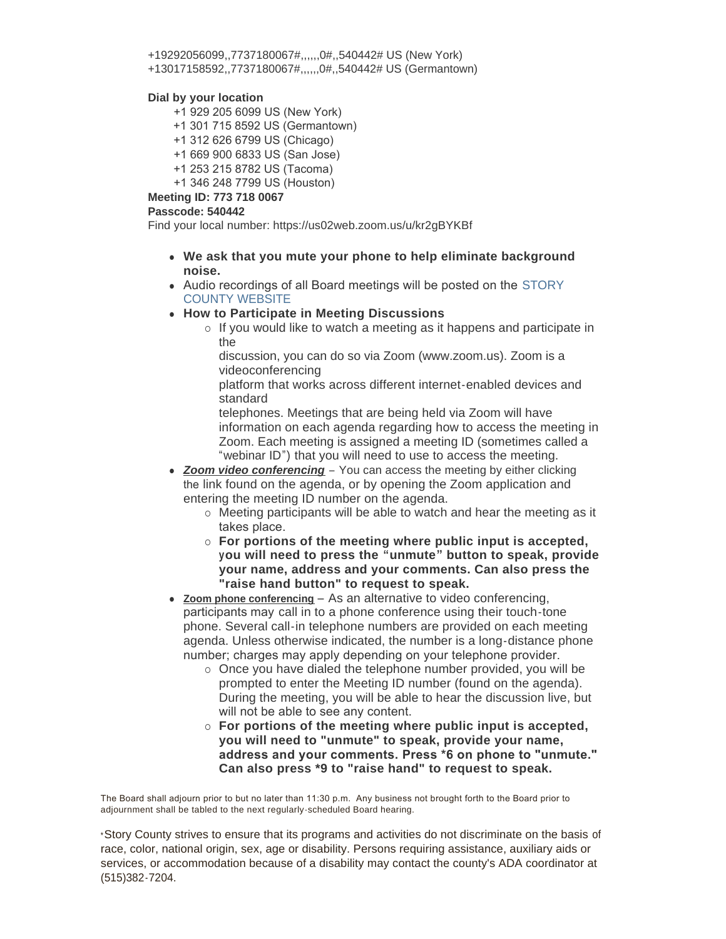+19292056099,,7737180067#,,,,,,0#,,540442# US (New York) +13017158592,,7737180067#,,,,,,0#,,540442# US (Germantown)

#### **Dial by your location**

- +1 929 205 6099 US (New York)
- +1 301 715 8592 US (Germantown)
- +1 312 626 6799 US (Chicago)
- +1 669 900 6833 US (San Jose)
- +1 253 215 8782 US (Tacoma)
- +1 346 248 7799 US (Houston)

#### **Meeting ID: 773 718 0067**

#### **Passcode: 540442**

Find your local number: https://us02web.zoom.us/u/kr2gBYKBf

- <sup>l</sup> **We ask that you mute your phone to help eliminate background noise.**
- Audio recordings of all Board meetings will be posted on the STORY COUNTY WEBSITE

## **• How to Participate in Meeting Discussions**

 $\circ$  If you would like to watch a meeting as it happens and participate in the

discussion, you can do so via Zoom (www.zoom.us). Zoom is a videoconferencing

platform that works across different internet-enabled devices and standard

telephones. Meetings that are being held via Zoom will have information on each agenda regarding how to access the meeting in Zoom. Each meeting is assigned a meeting ID (sometimes called a "webinar ID") that you will need to use to access the meeting.

- **Zoom video conferencing** You can access the meeting by either clicking the link found on the agenda, or by opening the Zoom application and entering the meeting ID number on the agenda.
	- $\circ$  Meeting participants will be able to watch and hear the meeting as it takes place.
	- ¡ **For portions of the meeting where public input is accepted, you will need to press the "unmute" button to speak, provide your name, address and your comments. Can also press the "raise hand button" to request to speak.**
- Zoom phone conferencing As an alternative to video conferencing, participants may call in to a phone conference using their touch-tone phone. Several call-in telephone numbers are provided on each meeting agenda. Unless otherwise indicated, the number is a long-distance phone number; charges may apply depending on your telephone provider.
	- $\circ$  Once you have dialed the telephone number provided, you will be prompted to enter the Meeting ID number (found on the agenda). During the meeting, you will be able to hear the discussion live, but will not be able to see any content.
	- ¡ **For portions of the meeting where public input is accepted, you will need to "unmute" to speak, provide your name, address and your comments. Press \*6 on phone to "unmute." Can also press \*9 to "raise hand" to request to speak.**

The Board shall adjourn prior to but no later than 11:30 p.m. Any business not brought forth to the Board prior to adjournment shall be tabled to the next regularly -scheduled Board hearing.

\*Story County strives to ensure that its programs and activities do not discriminate on the basis of race, color, national origin, sex, age or disability. Persons requiring assistance, auxiliary aids or services, or accommodation because of a disability may contact the county's ADA coordinator at (515)382-7204.